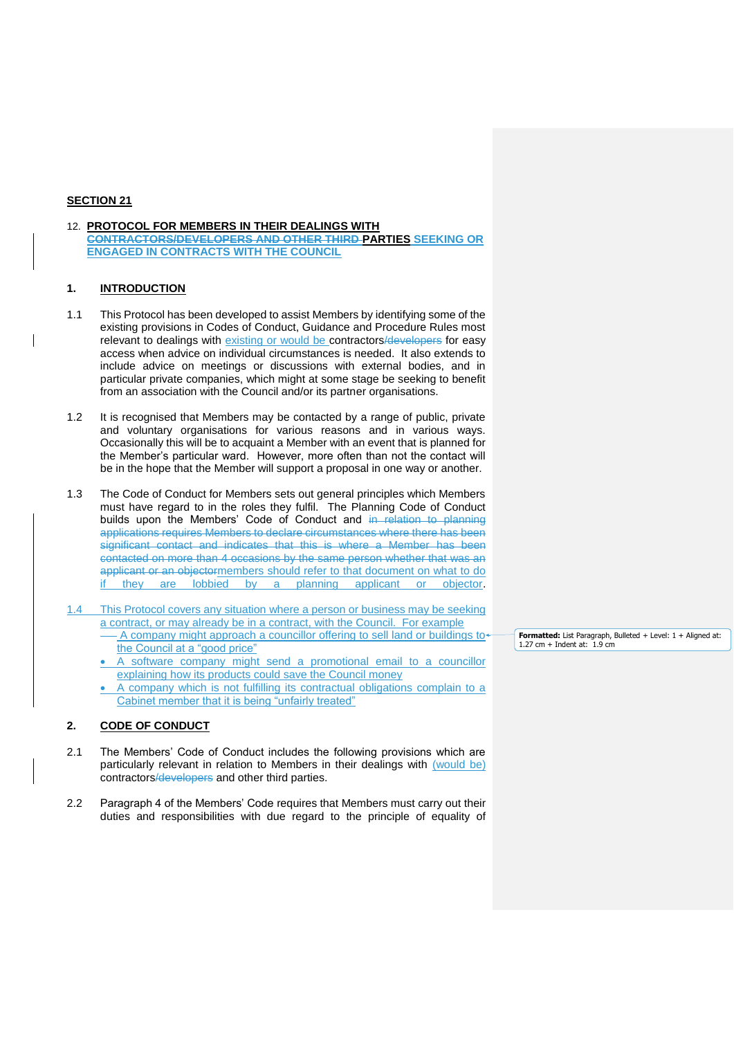## **SECTION 21**

12. **PROTOCOL FOR MEMBERS IN THEIR DEALINGS WITH CONTRACTORS/DEVELOPERS AND OTHER THIRD PARTIES SEEKING OR ENGAGED IN CONTRACTS WITH THE COUNCIL**

# **1. INTRODUCTION**

- 1.1 This Protocol has been developed to assist Members by identifying some of the existing provisions in Codes of Conduct, Guidance and Procedure Rules most relevant to dealings with existing or would be contractors/developers for easy access when advice on individual circumstances is needed. It also extends to include advice on meetings or discussions with external bodies, and in particular private companies, which might at some stage be seeking to benefit from an association with the Council and/or its partner organisations.
- 1.2 It is recognised that Members may be contacted by a range of public, private and voluntary organisations for various reasons and in various ways. Occasionally this will be to acquaint a Member with an event that is planned for the Member's particular ward. However, more often than not the contact will be in the hope that the Member will support a proposal in one way or another.
- 1.3 The Code of Conduct for Members sets out general principles which Members must have regard to in the roles they fulfil. The Planning Code of Conduct builds upon the Members' Code of Conduct and in relation to planning applications requires Members to declare circumstances where there has been significant contact and indicates that this is where a Member has been contacted on more than 4 occasions by the same person whether that was an applicant or an objectormembers should refer to that document on what to do if they are lobbied by a planning applicant or objector.
- 1.4 This Protocol covers any situation where a person or business may be seeking a contract, or may already be in a contract, with the Council. For example A company might approach a councillor offering to sell land or buildings to the Council at a "good price"
	- A software company might send a promotional email to a councillor explaining how its products could save the Council money
	- A company which is not fulfilling its contractual obligations complain to a Cabinet member that it is being "unfairly treated"

#### **2. CODE OF CONDUCT**

- 2.1 The Members' Code of Conduct includes the following provisions which are particularly relevant in relation to Members in their dealings with (would be) contractors/developers and other third parties.
- 2.2 Paragraph 4 of the Members' Code requires that Members must carry out their duties and responsibilities with due regard to the principle of equality of

**Formatted:** List Paragraph, Bulleted + Level: 1 + Aligned at:<br>1.27 cm + Indent at: 1.9 cm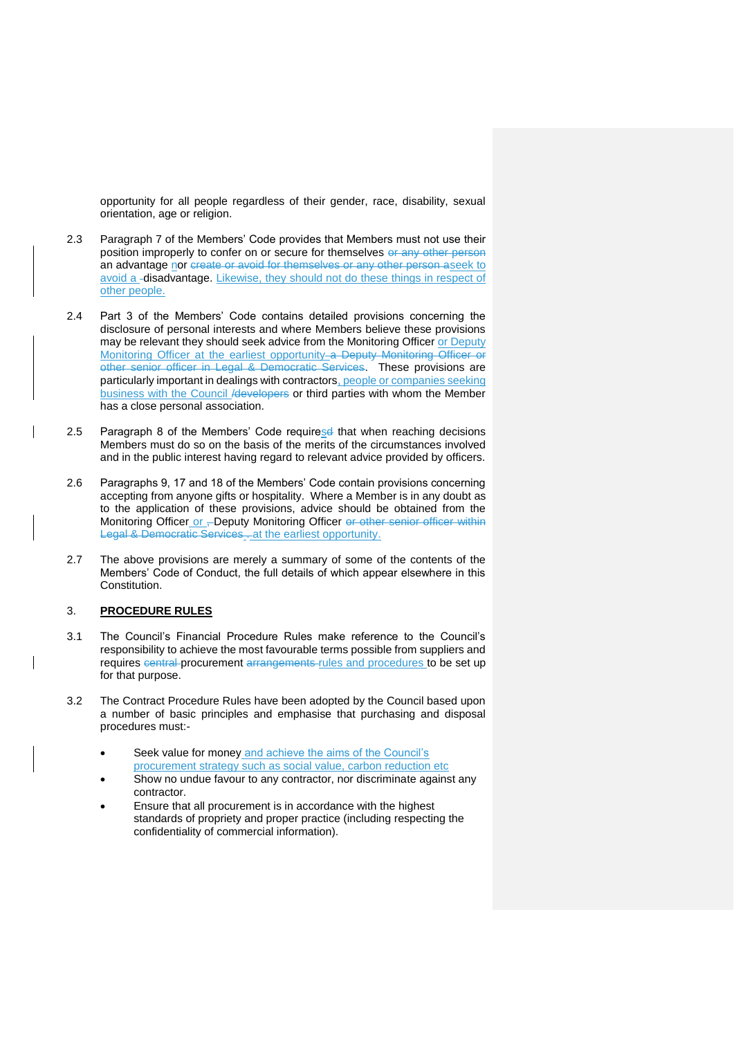opportunity for all people regardless of their gender, race, disability, sexual orientation, age or religion.

- 2.3 Paragraph 7 of the Members' Code provides that Members must not use their position improperly to confer on or secure for themselves or any other person an advantage nor create or avoid for themselves or any other person aseek to avoid a **-disadvantage.** Likewise, they should not do these things in respect of other people.
- 2.4 Part 3 of the Members' Code contains detailed provisions concerning the disclosure of personal interests and where Members believe these provisions may be relevant they should seek advice from the Monitoring Officer or Deputy Monitoring Officer at the earliest opportunity a Deputy Monitoring Officer or other senior officer in Legal & Democratic Services. These provisions are particularly important in dealings with contractors, people or companies seeking business with the Council /developers or third parties with whom the Member has a close personal association.
- 2.5 Paragraph 8 of the Members' Code requiresd that when reaching decisions Members must do so on the basis of the merits of the circumstances involved and in the public interest having regard to relevant advice provided by officers.
- 2.6 Paragraphs 9, 17 and 18 of the Members' Code contain provisions concerning accepting from anyone gifts or hospitality. Where a Member is in any doubt as to the application of these provisions, advice should be obtained from the Monitoring Officer or , Deputy Monitoring Officer or other senior officer within Legal & Democratic Services. at the earliest opportunity.
- 2.7 The above provisions are merely a summary of some of the contents of the Members' Code of Conduct, the full details of which appear elsewhere in this Constitution.

## 3. **PROCEDURE RULES**

- 3.1 The Council's Financial Procedure Rules make reference to the Council's responsibility to achieve the most favourable terms possible from suppliers and requires central procurement arrangements rules and procedures to be set up for that purpose.
- 3.2 The Contract Procedure Rules have been adopted by the Council based upon a number of basic principles and emphasise that purchasing and disposal procedures must:-
	- Seek value for money and achieve the aims of the Council's procurement strategy such as social value, carbon reduction etc
	- Show no undue favour to any contractor, nor discriminate against any contractor.
	- Ensure that all procurement is in accordance with the highest standards of propriety and proper practice (including respecting the confidentiality of commercial information).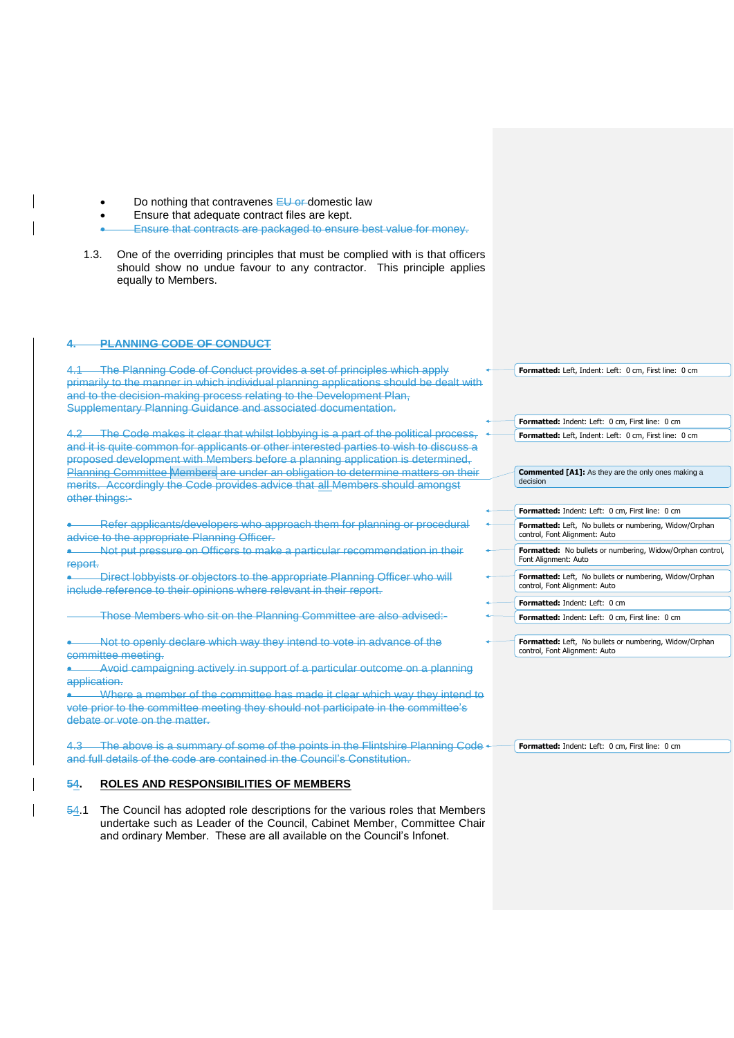- Do nothing that contravenes EU or domestic law
- Ensure that adequate contract files are kept.
- Ensure that contracts are packaged to ensure best value for money.
- 1.3. One of the overriding principles that must be complied with is that officers should show no undue favour to any contractor. This principle applies equally to Members.

## **4. PLANNING CODE OF CONDUCT**

4.1 The Planning Code of Conduct provides a set of principles which apply primarily to the manner in which individual planning applications should be dealt with and to the decision-making process relating to the Development Plan, Supplementary Planning Guidance and associated documentation.

4.2 The Code makes it clear that whilst lobbying is a part of the political process, and it is quite common for applicants or other interested parties to wish to discuss a proposed development with Members before a planning application is determined, Planning Committee Members are under an obligation to determine matters on their merits. Accordingly the Code provides advice that all Members should amongst other things:-

 Refer applicants/developers who approach them for planning or procedural advice to the appropriate Planning Officer.

 Not put pressure on Officers to make a particular recommendation in their report.

 Direct lobbyists or objectors to the appropriate Planning Officer who will include reference to their opinions where relevant in their report.

Those Members who sit on the Planning Committee are also advised:-

 Not to openly declare which way they intend to vote in advance of the committee meeting.

 Avoid campaigning actively in support of a particular outcome on a planning application.

Where a member of the committee has made it clear which way they intend to vote prior to the committee meeting they should not participate in the committee's debate or vote on the matter.

The above is a summary of some of the points in the Flintshire Planning Code < and full details of the code are contained in the Council's Constitution.

### **54. ROLES AND RESPONSIBILITIES OF MEMBERS**

54.1 The Council has adopted role descriptions for the various roles that Members undertake such as Leader of the Council, Cabinet Member, Committee Chair and ordinary Member. These are all available on the Council's Infonet.

**Formatted:** Left, Indent: Left: 0 cm, First line: 0 cm

|          | <b>Formatted:</b> Indent: Left: 0 cm, First line: 0 cm                                         |
|----------|------------------------------------------------------------------------------------------------|
|          | Formatted: Left, Indent: Left: 0 cm, First line: 0 cm                                          |
|          |                                                                                                |
| decision | <b>Commented [A1]:</b> As they are the only ones making a                                      |
|          |                                                                                                |
|          | <b>Formatted:</b> Indent: Left: 0 cm, First line: 0 cm                                         |
|          | <b>Formatted:</b> Left, No bullets or numbering, Widow/Orphan<br>control, Font Alignment: Auto |
|          | <b>Formatted:</b> No bullets or numbering, Widow/Orphan control,<br>Font Alignment: Auto       |
|          | <b>Formatted:</b> Left, No bullets or numbering, Widow/Orphan<br>control, Font Alignment: Auto |
|          | <b>Formatted:</b> Indent: Left: 0 cm                                                           |
|          |                                                                                                |

**Formatted:** Indent: Left: 0 cm, First line: 0 cm

**Formatted:** Left, No bullets or numbering, Widow/Orphan control, Font Alignment: Auto

**Formatted:** Indent: Left: 0 cm, First line: 0 cm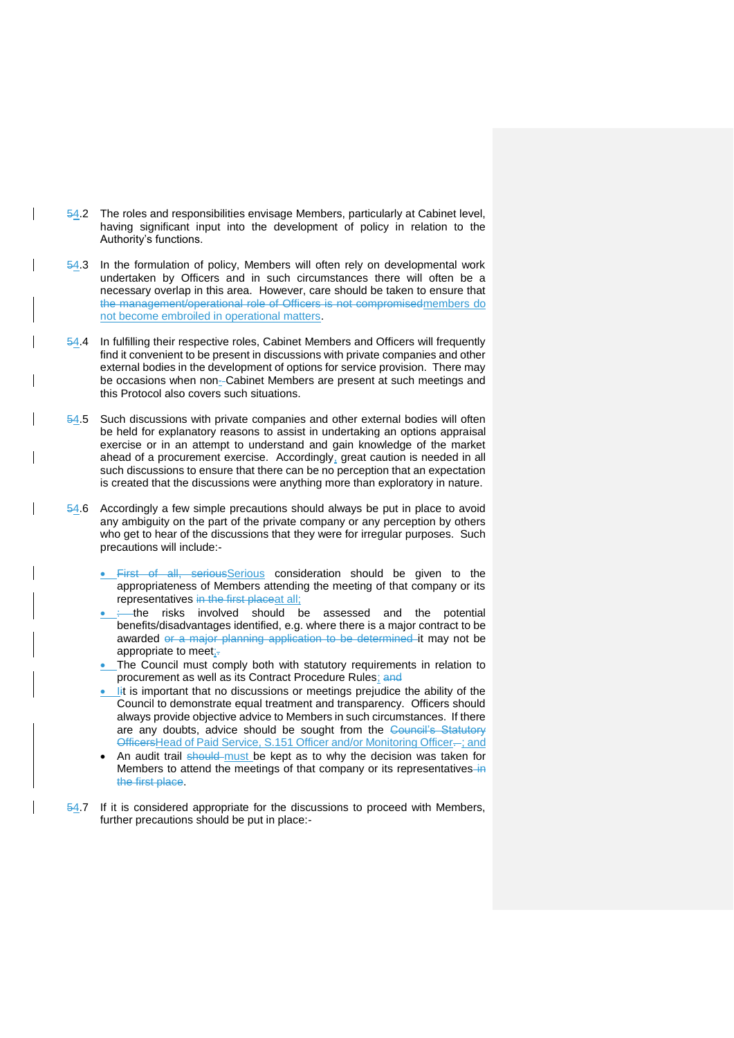54.2 The roles and responsibilities envisage Members, particularly at Cabinet level, having significant input into the development of policy in relation to the Authority's functions.

 $\overline{\phantom{a}}$ 

- 54.3 In the formulation of policy, Members will often rely on developmental work undertaken by Officers and in such circumstances there will often be a necessary overlap in this area. However, care should be taken to ensure that the management/operational role of Officers is not compromisedmembers do not become embroiled in operational matters.
- 54.4 In fulfilling their respective roles, Cabinet Members and Officers will frequently find it convenient to be present in discussions with private companies and other external bodies in the development of options for service provision. There may be occasions when non--Cabinet Members are present at such meetings and this Protocol also covers such situations.
- 54.5 Such discussions with private companies and other external bodies will often be held for explanatory reasons to assist in undertaking an options appraisal exercise or in an attempt to understand and gain knowledge of the market ahead of a procurement exercise. Accordingly, great caution is needed in all such discussions to ensure that there can be no perception that an expectation is created that the discussions were anything more than exploratory in nature.
- 54.6 Accordingly a few simple precautions should always be put in place to avoid any ambiguity on the part of the private company or any perception by others who get to hear of the discussions that they were for irregular purposes. Such precautions will include:-
	- First of all, seriousSerious consideration should be given to the appropriateness of Members attending the meeting of that company or its representatives in the first placeat all;
	- the risks involved should be assessed and the potential benefits/disadvantages identified, e.g. where there is a major contract to be awarded or a major planning application to be determined it may not be appropriate to meet;-
	- The Council must comply both with statutory requirements in relation to procurement as well as its Contract Procedure Rules; and
	- It is important that no discussions or meetings prejudice the ability of the Council to demonstrate equal treatment and transparency. Officers should always provide objective advice to Members in such circumstances. If there are any doubts, advice should be sought from the Council's Statutory OfficersHead of Paid Service, S.151 Officer and/or Monitoring Officer-; and
	- An audit trail should must be kept as to why the decision was taken for Members to attend the meetings of that company or its representatives in the first place.
- 54.7 If it is considered appropriate for the discussions to proceed with Members, further precautions should be put in place:-